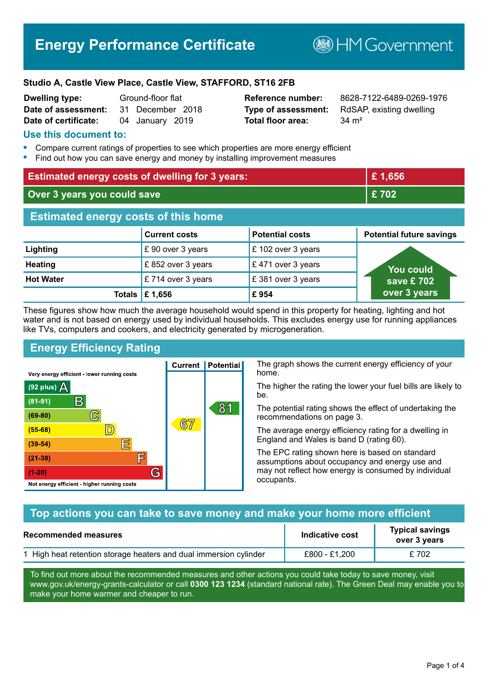# **Energy Performance Certificate**

**B**HMGovernment

#### **Studio A, Castle View Place, Castle View, STAFFORD, ST16 2FB**

| <b>Dwelling type:</b> | Ground-floor flat |                  |  |
|-----------------------|-------------------|------------------|--|
| Date of assessment:   |                   | 31 December 2018 |  |
| Date of certificate:  |                   | 04 January 2019  |  |

# **Total floor area:** 34 m<sup>2</sup>

**Reference number:** 8628-7122-6489-0269-1976 **Type of assessment:** RdSAP, existing dwelling

#### **Use this document to:**

- **•** Compare current ratings of properties to see which properties are more energy efficient
- **•** Find out how you can save energy and money by installing improvement measures

| <b>Estimated energy costs of dwelling for 3 years:</b> |                                 | £1,656                 |                                 |
|--------------------------------------------------------|---------------------------------|------------------------|---------------------------------|
| Over 3 years you could save                            |                                 | £702                   |                                 |
| <b>Estimated energy costs of this home</b>             |                                 |                        |                                 |
|                                                        | <b>Current costs</b>            | <b>Potential costs</b> | <b>Potential future savings</b> |
| Lighting                                               | £ 90 over 3 years               | £102 over 3 years      |                                 |
| <b>Heating</b>                                         | £852 over 3 years               | £471 over 3 years      | <b>You could</b>                |
| <b>Hot Water</b>                                       | £714 over 3 years               | £381 over 3 years      | save £ 702                      |
|                                                        | Totals $\mathbf \epsilon$ 1,656 | £954                   | over 3 years                    |

These figures show how much the average household would spend in this property for heating, lighting and hot water and is not based on energy used by individual households. This excludes energy use for running appliances like TVs, computers and cookers, and electricity generated by microgeneration.

**Current | Potential** 

 $67$ 

# **Energy Efficiency Rating**

 $\mathbb{C}$ 

 $\mathbb{D}$ 

E

F

G

Very energy efficient - lower running costs

R

Not energy efficient - higher running costs

 $(92$  plus)

 $(81 - 91)$ 

 $(69 - 80)$ 

 $(55-68)$ 

 $(39 - 54)$  $(21-38)$ 

 $(1-20)$ 

- 70

The graph shows the current energy efficiency of your home.

The higher the rating the lower your fuel bills are likely to be.

The potential rating shows the effect of undertaking the recommendations on page 3.

The average energy efficiency rating for a dwelling in England and Wales is band D (rating 60).

The EPC rating shown here is based on standard assumptions about occupancy and energy use and may not reflect how energy is consumed by individual occupants.

#### **Top actions you can take to save money and make your home more efficient**

81

| Recommended measures                                              | Indicative cost | <b>Typical savings</b><br>over 3 years |
|-------------------------------------------------------------------|-----------------|----------------------------------------|
| 1 High heat retention storage heaters and dual immersion cylinder | £800 - £1.200   | £702                                   |

To find out more about the recommended measures and other actions you could take today to save money, visit www.gov.uk/energy-grants-calculator or call **0300 123 1234** (standard national rate). The Green Deal may enable you to make your home warmer and cheaper to run.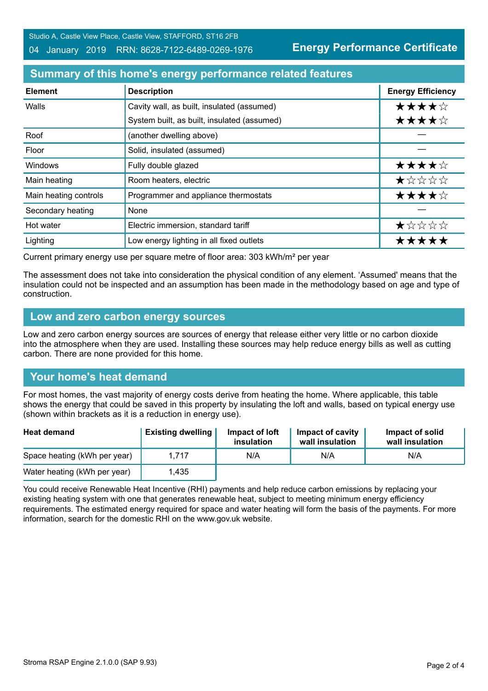Studio A, Castle View Place, Castle View, STAFFORD, ST16 2FB

#### 04 January 2019 RRN: 8628-7122-6489-0269-1976

**Energy Performance Certificate**

# **Summary of this home's energy performance related features**

| <b>Element</b>        | <b>Description</b>                          | <b>Energy Efficiency</b> |
|-----------------------|---------------------------------------------|--------------------------|
| Walls                 | Cavity wall, as built, insulated (assumed)  | ★★★★☆                    |
|                       | System built, as built, insulated (assumed) | ★★★★☆                    |
| Roof                  | (another dwelling above)                    |                          |
| Floor                 | Solid, insulated (assumed)                  |                          |
| Windows               | Fully double glazed                         | ★★★★☆                    |
| Main heating          | Room heaters, electric                      | ★☆☆☆☆                    |
| Main heating controls | Programmer and appliance thermostats        | ★★★★☆                    |
| Secondary heating     | None                                        |                          |
| Hot water             | Electric immersion, standard tariff         | ★☆☆☆☆                    |
| Lighting              | Low energy lighting in all fixed outlets    | <b>*****</b>             |

Current primary energy use per square metre of floor area: 303 kWh/m² per year

The assessment does not take into consideration the physical condition of any element. 'Assumed' means that the insulation could not be inspected and an assumption has been made in the methodology based on age and type of construction.

#### **Low and zero carbon energy sources**

Low and zero carbon energy sources are sources of energy that release either very little or no carbon dioxide into the atmosphere when they are used. Installing these sources may help reduce energy bills as well as cutting carbon. There are none provided for this home.

### **Your home's heat demand**

For most homes, the vast majority of energy costs derive from heating the home. Where applicable, this table shows the energy that could be saved in this property by insulating the loft and walls, based on typical energy use (shown within brackets as it is a reduction in energy use).

| <b>Heat demand</b>           | <b>Existing dwelling</b> | Impact of loft<br>insulation | Impact of cavity<br>wall insulation | Impact of solid<br>wall insulation |
|------------------------------|--------------------------|------------------------------|-------------------------------------|------------------------------------|
| Space heating (kWh per year) | 1.717                    | N/A                          | N/A                                 | N/A                                |
| Water heating (kWh per year) | l.435                    |                              |                                     |                                    |

You could receive Renewable Heat Incentive (RHI) payments and help reduce carbon emissions by replacing your existing heating system with one that generates renewable heat, subject to meeting minimum energy efficiency requirements. The estimated energy required for space and water heating will form the basis of the payments. For more information, search for the domestic RHI on the www.gov.uk website.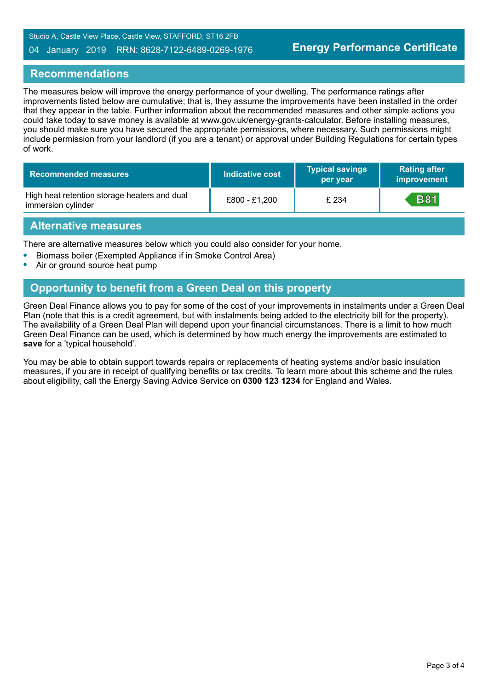Studio A, Castle View Place, Castle View, STAFFORD, ST16 2FB

#### 04 January 2019 RRN: 8628-7122-6489-0269-1976

#### **Recommendations**

The measures below will improve the energy performance of your dwelling. The performance ratings after improvements listed below are cumulative; that is, they assume the improvements have been installed in the order that they appear in the table. Further information about the recommended measures and other simple actions you could take today to save money is available at www.gov.uk/energy-grants-calculator. Before installing measures, you should make sure you have secured the appropriate permissions, where necessary. Such permissions might include permission from your landlord (if you are a tenant) or approval under Building Regulations for certain types of work.

| <b>Recommended measures</b>                                        | Indicative cost | <b>Typical savings</b><br>per year | <b>Rating after</b><br>improvement |
|--------------------------------------------------------------------|-----------------|------------------------------------|------------------------------------|
| High heat retention storage heaters and dual<br>immersion cylinder | £800 - £1,200   | £ 234                              | <b>B81</b>                         |

#### **Alternative measures**

There are alternative measures below which you could also consider for your home.

- **•** Biomass boiler (Exempted Appliance if in Smoke Control Area)
- **•** Air or ground source heat pump

# **Opportunity to benefit from a Green Deal on this property**

Green Deal Finance allows you to pay for some of the cost of your improvements in instalments under a Green Deal Plan (note that this is a credit agreement, but with instalments being added to the electricity bill for the property). The availability of a Green Deal Plan will depend upon your financial circumstances. There is a limit to how much Green Deal Finance can be used, which is determined by how much energy the improvements are estimated to **save** for a 'typical household'.

You may be able to obtain support towards repairs or replacements of heating systems and/or basic insulation measures, if you are in receipt of qualifying benefits or tax credits. To learn more about this scheme and the rules about eligibility, call the Energy Saving Advice Service on **0300 123 1234** for England and Wales.